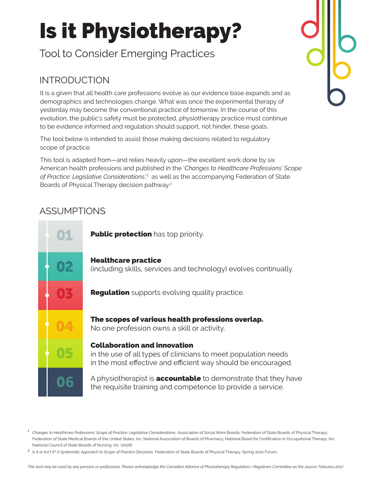# Is it Physiotherapy?

Tool to Consider Emerging Practices

# INTRODUCTION

It is a given that all health care professions evolve as our evidence base expands and as demographics and technologies change. What was once the experimental therapy of yesterday may become the conventional practice of tomorrow. In the course of this evolution, the public's safety must be protected, physiotherapy practice must continue to be evidence informed and regulation should support, not hinder, these goals.

The tool below is intended to assist those making decisions related to regulatory scope of practice.

This tool is adapted from—and relies heavily upon—the excellent work done by six American health professions and published in the '*Changes to Healthcare Professions' Scope of Practice: Legislative Considerations*,'1 as well as the accompanying Federation of State Boards of Physical Therapy decision pathway.2

## ASSUMPTIONS



<sup>&</sup>lt;sup>1</sup> Changes to Healthcare Professions' Scope of Practice: Legislative Considerations, Association of Social Work Boards; Federation of State Boards of Physical Therapy; Federation of State Medical Boards of the United States, Inc; National Association of Boards of Pharmacy; National Board for Certification in Occupational Therapy, Inc; National Council of State Boards of Nursing, Inc. (2006)

*<sup>2</sup> Is It or Isn't It? A Systematic Approach to Scope of Practice Decisions*, Federation of State Boards of Physical Therapy. Spring 2010 Forum.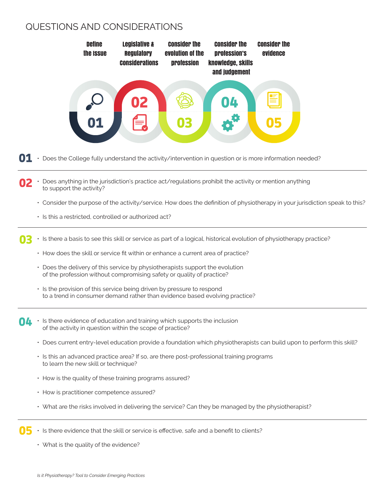### QUESTIONS AND CONSIDERATIONS



- $\mathbf{01}$   $\cdot$  Does the College fully understand the activity/intervention in question or is more information needed?
- Does anything in the jurisdiction's practice act/regulations prohibit the activity or mention anything to support the activity?
	- Consider the purpose of the activity/service. How does the definition of physiotherapy in your jurisdiction speak to this?
	- Is this a restricted, controlled or authorized act?
- Is there a basis to see this skill or service as part of a logical, historical evolution of physiotherapy practice?
	- How does the skill or service fit within or enhance a current area of practice?
	- Does the delivery of this service by physiotherapists support the evolution of the profession without compromising safety or quality of practice?
	- Is the provision of this service being driven by pressure to respond to a trend in consumer demand rather than evidence based evolving practice?
- $\bigcap$  **1** Is there evidence of education and training which supports the inclusion of the activity in question within the scope of practice?
	- Does current entry-level education provide a foundation which physiotherapists can build upon to perform this skill?
	- Is this an advanced practice area? If so, are there post-professional training programs to learn the new skill or technique?
	- How is the quality of these training programs assured?
	- How is practitioner competence assured?
	- What are the risks involved in delivering the service? Can they be managed by the physiotherapist?
- Is there evidence that the skill or service is effective, safe and a benefit to clients?
	- What is the quality of the evidence?